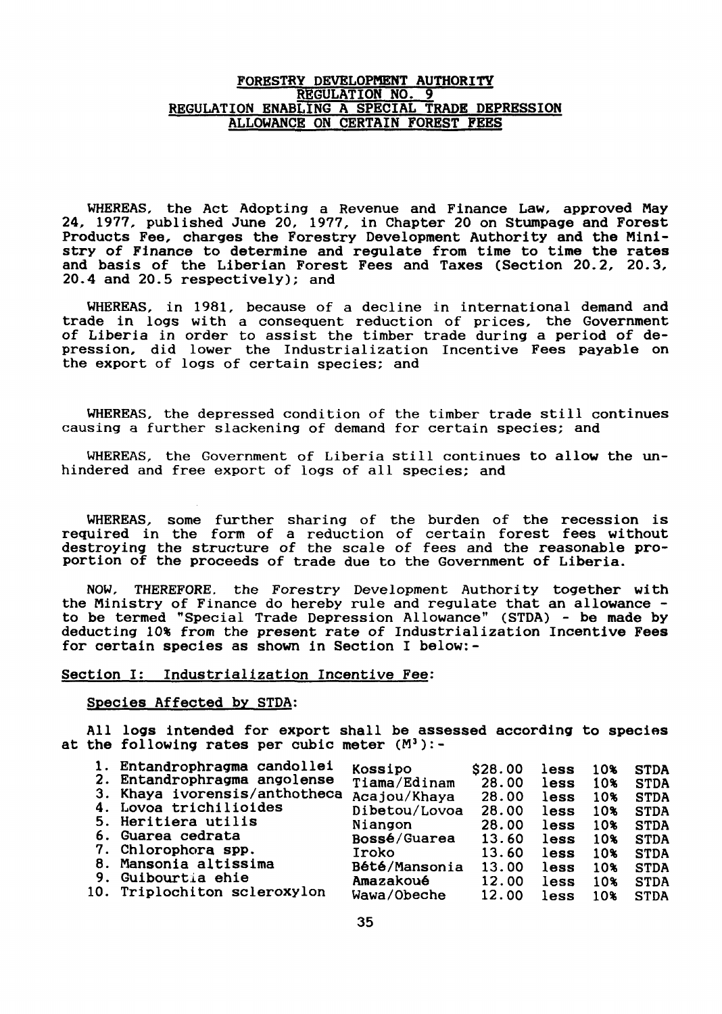## FORESTRY DEVELOPMENT AUTHORITY REGULATION NO. 9 REGULATION ENABLiNG A SPECIAL TRADE DEPRESSION ALLOWANCE ON CERTAIN FOREST FEES

WHEREAS, the Act Adopting a Revenue and Finance Law, approved May 24, 1977, published June 20, 1977, in Chapter 20 on Stumpage and Forest Products Fee, charges the Forestry Development Authority and the Ministry of Finance to determine and regulate from time to time the rates and basis of the Liberian Forest Fees and Taxes (Section 20.2, 20.3, 20.4 and 20.5 respectively); and

WHEREAS, in 1981, because of a decline in international demand and trade in logs with a consequent reduction of prices, the Government of Liberia in order to assist the timber trade during a period of depression, did lower the Industrialization Incentive Fees payable on the export of logs of certain species; and

WHEREAS, the depressed condition of the timber trade still continues causing a further slackening of demand for certain species; and

WHEREAS, the Government of Liberia still continues to allow the unhindered and free export of logs of all species; and

WHEREAS, some further sharing of the burden of the recession is required in the form of a reduction of certain forest fees without destroying the structure of the scale of fees and the reasonable pro-<br>portion of the proceeds of trade due to the Government of Liberia.

NOW, THEREFORE. the Forestry Development Authori ty together wi th the Ministry of Finance do hereby rule and regulate that an allowance -<br>to be termed "Special Trade Depression Allowance" (STDA) - be made by deducting 10% from the present rate of Industrialization Incentive Fees for certain species as shown in Section I below:-

### Section I: Industrialization Incentive Fee:

#### Species Affected by STDA:

All *logs* intended for export shall be assessed according to species at the following rates per cubic meter  $(M^3)$ :-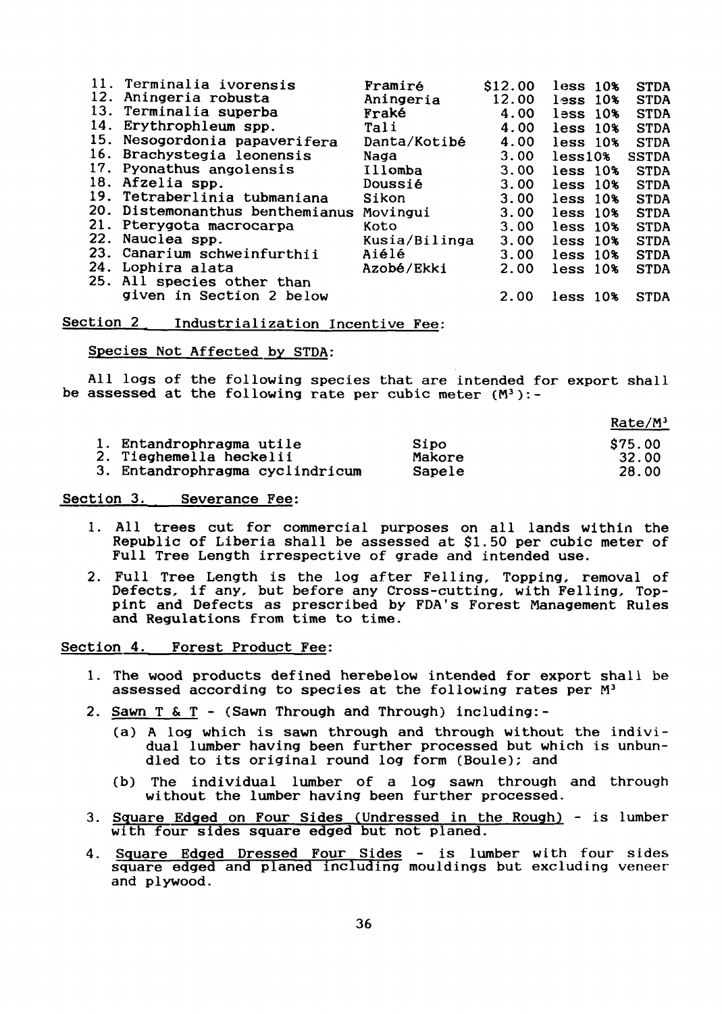|     | 11. Terminalia ivorensis        | Framiré       | S <sub>12.00</sub> | less 10%      | <b>STDA</b>  |
|-----|---------------------------------|---------------|--------------------|---------------|--------------|
| 12. | Aningeria robusta               | Aningeria     | 12.00              | less 10%      | <b>STDA</b>  |
|     | 13. Terminalia superba          | Fraké         | 4.00               | $l$ ess $10%$ | <b>STDA</b>  |
| 14. | Erythrophleum spp.              | Tali          | 4.00               | less 10%      | <b>STDA</b>  |
|     | 15. Nesogordonia papaverifera   | Danta/Kotibé  | 4.00               | less 10%      | <b>STDA</b>  |
|     | 16. Brachystegia leonensis      | Naga          | 3.00               | $less 10\%$   | <b>SSTDA</b> |
| 17. | Pyonathus angolensis            | Illomba       | 3.00               | less 10%      | <b>STDA</b>  |
|     | 18. Afzelia spp.                | Doussié       | 3.00               | less 10%      | <b>STDA</b>  |
|     | 19. Tetraberlinia tubmaniana    | Sikon         | 3.00               | less 10%      | <b>STDA</b>  |
|     | 20. Distemonanthus benthemianus | Movingui      | 3.00               | less 10%      | <b>STDA</b>  |
|     | 21. Pterygota macrocarpa        | Koto          | 3.00               | less 10%      | <b>STDA</b>  |
| 22. | Nauclea spp.                    | Kusia/Bilinga | 3.00               | less 10%      | <b>STDA</b>  |
| 23. | Canarium schweinfurthii         | Aiélé         | 3.00               | less 10%      | <b>STDA</b>  |
| 24. | Lophira alata                   | Azobé/Ekki    | 2.00               | less 10%      | <b>STDA</b>  |
|     | 25. All species other than      |               |                    |               |              |
|     | given in Section 2 below        |               | 2.00               | $less$ $10%$  | <b>STDA</b>  |
|     |                                 |               |                    |               |              |

Section 2 Industrialization Incentive Fee:

Species Not Affected by STDA:

All logs of the following species that are intended for export shall be assessed at the following rate per cubic meter  $(M^3)$ :-

|                                 |        | $Rate/M^3$ |
|---------------------------------|--------|------------|
| 1. Entandrophragma utile        | Sipo   | \$75.00    |
| 2. Tieghemella heckelii         | Makore | 32.00      |
| 3. Entandrophragma cyclindricum | Sapele | 28.00      |

Section 3. Severance Fee:

- 1. All trees cut for commercial purposes on all lands within the Republic of Liberia shall be assessed at \$1.50 per cubic meter of Full Tree Length irrespective of grade and intended use.
- 2. Full Tree Length is the log after Felling, Topping, removal of Defects, if any, but before any Cross-cutting, with Felling, Toppint and Defects as prescribed by FDA's Forest Management Rules and Regulations from time to time.

Section 4. Forest Product Fee:

- 1. The wood products defined herebelow intended for export shall be assessed according to species at the following rates per M<sup>3</sup>
- 2. Sawn T & T (Sawn Through and Through) including:-
	- (a) <sup>A</sup> log which is sawn through and through without the individual lumber having been further processed but which is unbundled to its original round log form (Boule); and
	- (b) The individual lumber of a log sawn through and through without the lumber having been further processed.
- 3. Square Edged on Four Sides (Undressed in the Rough) is lumber with four sides square edged but not planed.
- 4. Square Edged Dressed Four Sides is lumber with four sides square edged and planed including mouldings but excluding veneer and plywood.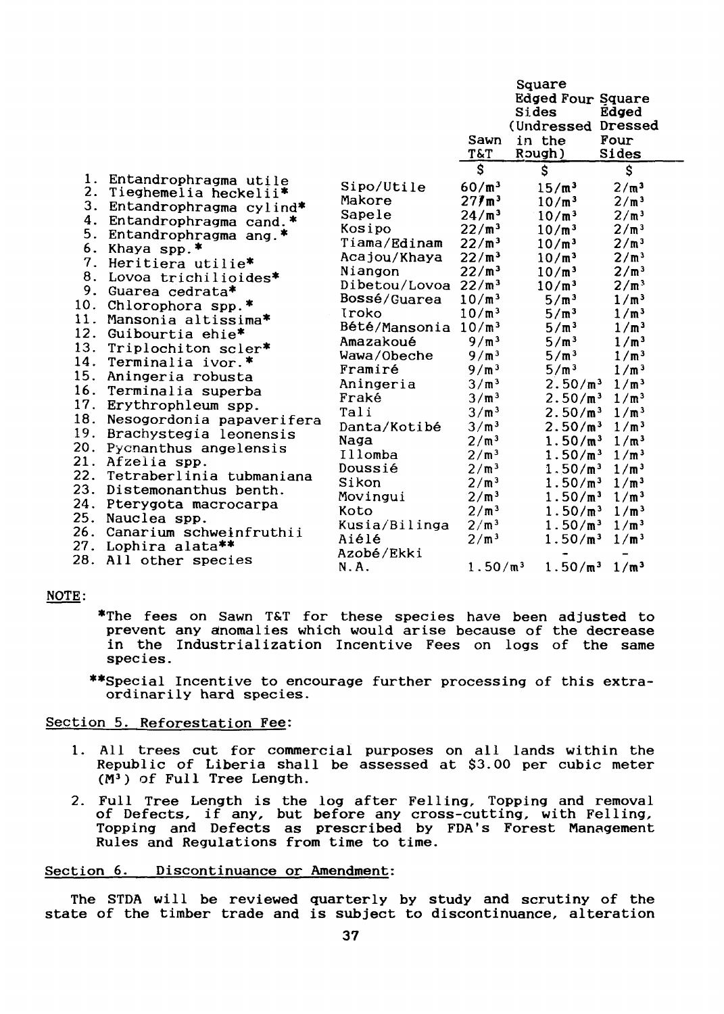|                                                                                                                                                             |                                                                                                                                                                                                                                                                                                                                                                                                                                                                                                                                                                                                                          |                                                                                                                                                                                                                                                                                                                                            | Sawn<br>T&T                                                                                                                                                                                                                                                                                                                                                                                                                               | Square<br><b>Edged Four Square</b><br>Sides<br>(Undressed Dressed<br>in the<br>Rough)                                                                                                                                                                                                                                                                                                                                                                                                                    | Edged<br>Four<br>Sides                                                                                                                                                                                                                                                                                                                                                                                                                                                                                                               |  |
|-------------------------------------------------------------------------------------------------------------------------------------------------------------|--------------------------------------------------------------------------------------------------------------------------------------------------------------------------------------------------------------------------------------------------------------------------------------------------------------------------------------------------------------------------------------------------------------------------------------------------------------------------------------------------------------------------------------------------------------------------------------------------------------------------|--------------------------------------------------------------------------------------------------------------------------------------------------------------------------------------------------------------------------------------------------------------------------------------------------------------------------------------------|-------------------------------------------------------------------------------------------------------------------------------------------------------------------------------------------------------------------------------------------------------------------------------------------------------------------------------------------------------------------------------------------------------------------------------------------|----------------------------------------------------------------------------------------------------------------------------------------------------------------------------------------------------------------------------------------------------------------------------------------------------------------------------------------------------------------------------------------------------------------------------------------------------------------------------------------------------------|--------------------------------------------------------------------------------------------------------------------------------------------------------------------------------------------------------------------------------------------------------------------------------------------------------------------------------------------------------------------------------------------------------------------------------------------------------------------------------------------------------------------------------------|--|
|                                                                                                                                                             |                                                                                                                                                                                                                                                                                                                                                                                                                                                                                                                                                                                                                          |                                                                                                                                                                                                                                                                                                                                            | $\mathsf{S}$                                                                                                                                                                                                                                                                                                                                                                                                                              | $\mathsf{\hat{S}}$                                                                                                                                                                                                                                                                                                                                                                                                                                                                                       | \$                                                                                                                                                                                                                                                                                                                                                                                                                                                                                                                                   |  |
| 1.<br>2.<br>3.<br>4.<br>5.<br>6.<br>7.<br>8.<br>9.<br>10.<br>11.<br>12.<br>13.<br>14.<br>15.<br>16.<br>17.<br>18.<br>19.<br>20.<br>21.<br>22.<br>25.<br>26. | Entandrophragma utile<br>Tieghemelia heckelii*<br>Entandrophragma cylind*<br>Entandrophragma cand.*<br>Entandrophragma ang.*<br>Khaya spp.*<br>Heritiera utilie*<br>Lovoa trichilioides*<br>Guarea cedrata*<br>Chlorophora spp.*<br>Mansonia altissima*<br>Guibourtia ehie*<br>Triplochiton scler*<br>Terminalia ivor.*<br>Aningeria robusta<br>Terminalia superba<br>Erythrophleum spp.<br>Nesogordonia papaverifera<br>Brachystegia leonensis<br>Pycnanthus angelensis<br>Afzelia spp.<br>Tetraberlinia tubmaniana<br>23. Distemonanthus benth.<br>24. Pterygota macrocarpa<br>Nauclea spp.<br>Canarium schweinfruthii | Sipo/Utile<br>Makore<br>Sapele<br>Kosipo<br>Tiama/Edinam<br>Acajou/Khaya<br>Niangon<br>Dibetou/Lovoa $22/m^3$<br>Bossé/Guarea<br>Iroko<br>Bété/Mansonia $10/m^3$<br>Amazakoué<br>Wawa/Obeche<br>Framiré<br>Aningeria<br>Fraké<br>Tali<br>Danta/Kotibé<br>Naga<br>Illomba<br>Doussié<br>Sikon<br>Movingui<br>Koto<br>Kusia/Bilinga<br>Aiélé | $60/m^3$<br>$27$ /m <sup>3</sup><br>24/m <sup>3</sup><br>$22/m^3$<br>$22/m^3$<br>$22/m^3$<br>$22/m^3$<br>$10/m^3$<br>$10/m^3$<br>9/m <sup>3</sup><br>9/m <sup>3</sup><br>9/m <sup>3</sup><br>3/m <sup>3</sup><br>3/m <sup>3</sup><br>3/m <sup>3</sup><br>3/m <sup>3</sup><br>2/m <sup>3</sup><br>2/m <sup>3</sup><br>2/m <sup>3</sup><br>2/m <sup>3</sup><br>2/m <sup>3</sup><br>2/m <sup>3</sup><br>2/m <sup>3</sup><br>2/m <sup>3</sup> | $15/m^3$<br>$10/m^3$<br>$10/m^3$<br>$10/m^3$<br>$10/m^3$<br>$10/m^3$<br>$10/m^3$<br>$10/m^3$<br>5/m <sup>3</sup><br>5/m <sup>3</sup><br>5/m <sup>3</sup><br>5/m <sup>3</sup><br>5/m <sup>3</sup><br>5/m <sup>3</sup><br>2.50/m <sup>3</sup><br>2.50/m <sup>3</sup><br>2.50/m <sup>3</sup><br>2.50/m <sup>3</sup><br>1.50/m <sup>3</sup><br>1.50/m <sup>3</sup><br>1.50/m <sup>3</sup><br>1.50/m <sup>3</sup><br>1.50/m <sup>3</sup><br>1.50/m <sup>3</sup><br>1.50/m <sup>3</sup><br>1.50/m <sup>3</sup> | 2/m <sup>3</sup><br>2/m <sup>3</sup><br>2/m <sup>3</sup><br>2/m <sup>3</sup><br>2/m <sup>3</sup><br>2/m <sup>3</sup><br>2/m <sup>3</sup><br>2/m <sup>3</sup><br>1/m <sup>3</sup><br>1/m <sup>3</sup><br>1/m <sup>3</sup><br>1/m <sup>3</sup><br>1/m <sup>3</sup><br>1/m <sup>3</sup><br>1/m <sup>3</sup><br>1/m <sup>3</sup><br>1/m <sup>3</sup><br>1/m <sup>3</sup><br>1/m <sup>3</sup><br>1/m <sup>3</sup><br>1/m <sup>3</sup><br>1/m <sup>3</sup><br>1/m <sup>3</sup><br>1/m <sup>3</sup><br>1/m <sup>3</sup><br>1/m <sup>3</sup> |  |
| 27.<br>28.                                                                                                                                                  | Lophira alata**<br>All other species                                                                                                                                                                                                                                                                                                                                                                                                                                                                                                                                                                                     | Azobé/Ekki<br>N.A.                                                                                                                                                                                                                                                                                                                         | 1.50/m <sup>3</sup>                                                                                                                                                                                                                                                                                                                                                                                                                       | 1.50/m <sup>3</sup>                                                                                                                                                                                                                                                                                                                                                                                                                                                                                      | 1/m <sup>3</sup>                                                                                                                                                                                                                                                                                                                                                                                                                                                                                                                     |  |

# NOTE:

- \*The fees on Sawn T&T for these species have been adjusted to prevent any anomalies which would arise because of the decrease in the Industrialization Incentive Fees on logs of the same species.
- \*\*Special Incentive to encourage further processing of this extraordinarily hard species.

## Section 5. Reforestation Fee:

- 1. All trees cut for commercial purposes on all lands within the Republ ic of Liberia shall be assessed at \$3.00 per cubic meter  $(M^3)$  of Full Tree Length.
- 2. Full Tree Length is the log after Felling, Topping and removal of Defects, if any, but before any cross-cutting, with Felling, Topping and Defects as prescribed by FDA's Forest Management Rules and Regulations from time to time.

## Section 6. Discontinuance or Amendment:

The STDA will be reviewed quarterly by study and scrutiny of the state of the timber trade and is subject to discontinuance, alteration